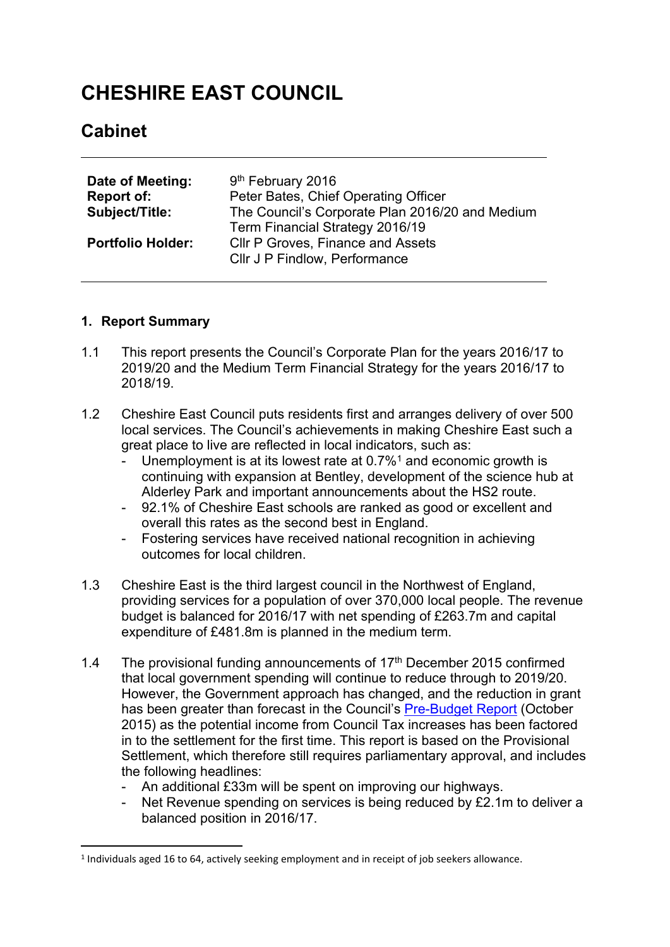# **CHESHIRE EAST COUNCIL**

# **Cabinet**

| Date of Meeting:         | 9 <sup>th</sup> February 2016                   |
|--------------------------|-------------------------------------------------|
| <b>Report of:</b>        | Peter Bates, Chief Operating Officer            |
| <b>Subject/Title:</b>    | The Council's Corporate Plan 2016/20 and Medium |
|                          | Term Financial Strategy 2016/19                 |
| <b>Portfolio Holder:</b> | <b>CIIr P Groves, Finance and Assets</b>        |
|                          | Cllr J P Findlow, Performance                   |

#### **1. Report Summary**

- 1.1 This report presents the Council's Corporate Plan for the years 2016/17 to 2019/20 and the Medium Term Financial Strategy for the years 2016/17 to 2018/19.
- 1.2 Cheshire East Council puts residents first and arranges delivery of over 500 local services. The Council's achievements in making Cheshire East such a great place to live are reflected in local indicators, such as:
	- Unemployment is at its lowest rate at  $0.7\%$ <sup>1</sup> and economic growth is continuing with expansion at Bentley, development of the science hub at Alderley Park and important announcements about the HS2 route.
	- 92.1% of Cheshire East schools are ranked as good or excellent and overall this rates as the second best in England.
	- Fostering services have received national recognition in achieving outcomes for local children.
- 1.3 Cheshire East is the third largest council in the Northwest of England, providing services for a population of over 370,000 local people. The revenue budget is balanced for 2016/17 with net spending of £263.7m and capital expenditure of £481.8m is planned in the medium term.
- 1.4 The provisional funding announcements of 17<sup>th</sup> December 2015 confirmed that local government spending will continue to reduce through to 2019/20. However, the Government approach has changed, and the reduction in grant has been greater than forecast in the Council's [Pre-Budget](http://www.cheshireeast.gov.uk/pdf/council-and-democracy/budget-report/pre-budget-report-2016-17-vf-1.pdf) Report (October 2015) as the potential income from Council Tax increases has been factored in to the settlement for the first time. This report is based on the Provisional Settlement, which therefore still requires parliamentary approval, and includes the following headlines:
	- An additional £33m will be spent on improving our highways.
	- Net Revenue spending on services is being reduced by £2.1m to deliver a balanced position in 2016/17.

<sup>1</sup> Individuals aged 16 to 64, actively seeking employment and in receipt of job seekers allowance.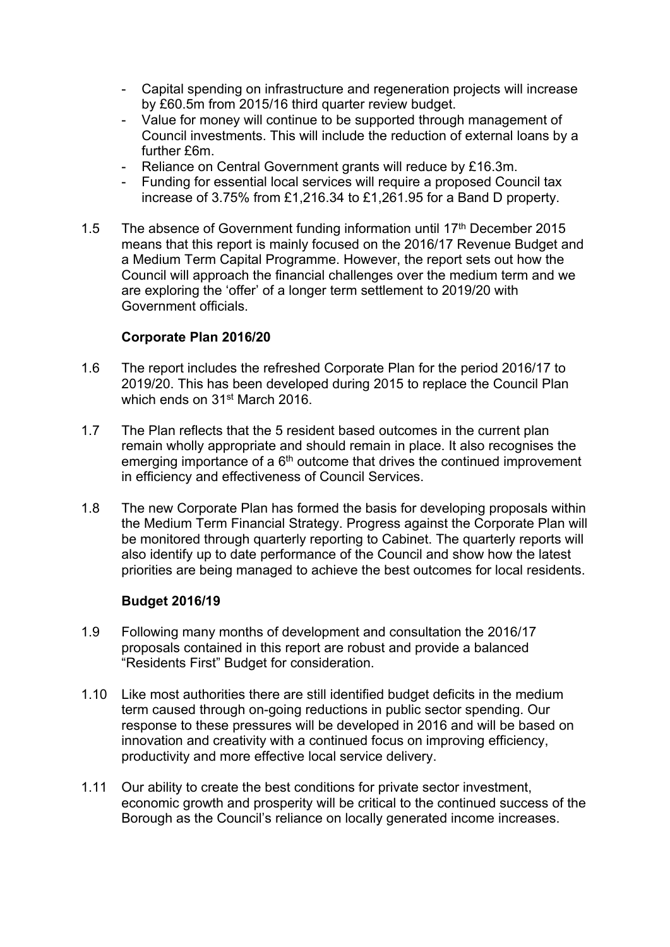- Capital spending on infrastructure and regeneration projects will increase by £60.5m from 2015/16 third quarter review budget.
- Value for money will continue to be supported through management of Council investments. This will include the reduction of external loans by a further £6m.
- Reliance on Central Government grants will reduce by £16.3m.
- Funding for essential local services will require a proposed Council tax increase of 3.75% from £1,216.34 to £1,261.95 for a Band D property.
- 1.5 The absence of Government funding information until 17<sup>th</sup> December 2015 means that this report is mainly focused on the 2016/17 Revenue Budget and a Medium Term Capital Programme. However, the report sets out how the Council will approach the financial challenges over the medium term and we are exploring the 'offer' of a longer term settlement to 2019/20 with Government officials.

#### **Corporate Plan 2016/20**

- 1.6 The report includes the refreshed Corporate Plan for the period 2016/17 to 2019/20. This has been developed during 2015 to replace the Council Plan which ends on 31st March 2016.
- 1.7 The Plan reflects that the 5 resident based outcomes in the current plan remain wholly appropriate and should remain in place. It also recognises the emerging importance of a 6<sup>th</sup> outcome that drives the continued improvement in efficiency and effectiveness of Council Services.
- 1.8 The new Corporate Plan has formed the basis for developing proposals within the Medium Term Financial Strategy. Progress against the Corporate Plan will be monitored through quarterly reporting to Cabinet. The quarterly reports will also identify up to date performance of the Council and show how the latest priorities are being managed to achieve the best outcomes for local residents.

#### **Budget 2016/19**

- 1.9 Following many months of development and consultation the 2016/17 proposals contained in this report are robust and provide a balanced "Residents First" Budget for consideration.
- 1.10 Like most authorities there are still identified budget deficits in the medium term caused through on-going reductions in public sector spending. Our response to these pressures will be developed in 2016 and will be based on innovation and creativity with a continued focus on improving efficiency, productivity and more effective local service delivery.
- 1.11 Our ability to create the best conditions for private sector investment, economic growth and prosperity will be critical to the continued success of the Borough as the Council's reliance on locally generated income increases.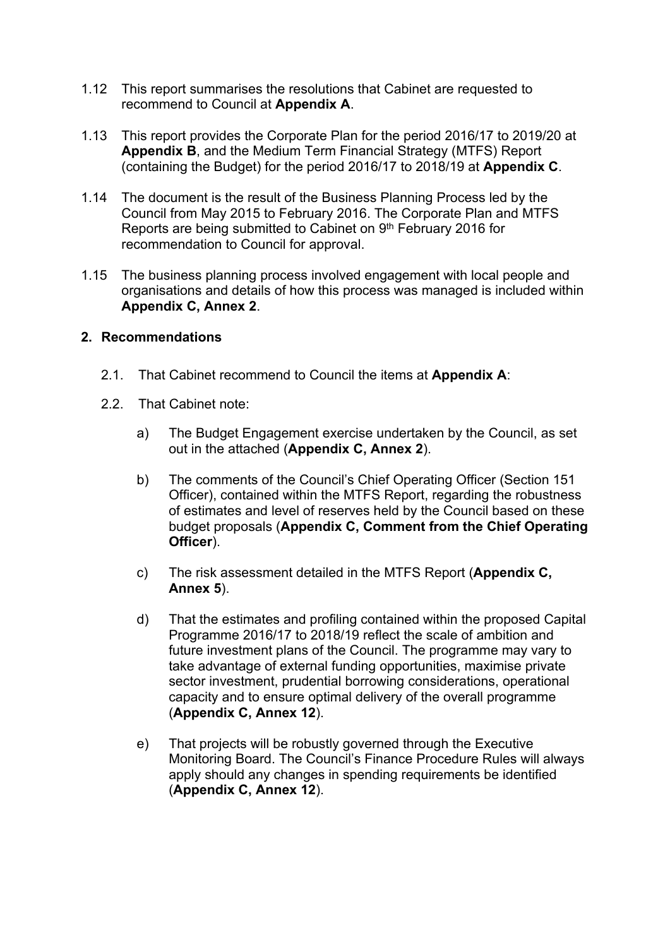- 1.12 This report summarises the resolutions that Cabinet are requested to recommend to Council at **Appendix A**.
- 1.13 This report provides the Corporate Plan for the period 2016/17 to 2019/20 at **Appendix B**, and the Medium Term Financial Strategy (MTFS) Report (containing the Budget) for the period 2016/17 to 2018/19 at **Appendix C**.
- 1.14 The document is the result of the Business Planning Process led by the Council from May 2015 to February 2016. The Corporate Plan and MTFS Reports are being submitted to Cabinet on 9<sup>th</sup> February 2016 for recommendation to Council for approval.
- 1.15 The business planning process involved engagement with local people and organisations and details of how this process was managed is included within **Appendix C, Annex 2**.

#### **2. Recommendations**

- 2.1. That Cabinet recommend to Council the items at **Appendix A**:
- 2.2. That Cabinet note:
	- a) The Budget Engagement exercise undertaken by the Council, as set out in the attached (**Appendix C, Annex 2**).
	- b) The comments of the Council's Chief Operating Officer (Section 151 Officer), contained within the MTFS Report, regarding the robustness of estimates and level of reserves held by the Council based on these budget proposals (**Appendix C, Comment from the Chief Operating Officer**).
	- c) The risk assessment detailed in the MTFS Report (**Appendix C, Annex 5**).
	- d) That the estimates and profiling contained within the proposed Capital Programme 2016/17 to 2018/19 reflect the scale of ambition and future investment plans of the Council. The programme may vary to take advantage of external funding opportunities, maximise private sector investment, prudential borrowing considerations, operational capacity and to ensure optimal delivery of the overall programme (**Appendix C, Annex 12**).
	- e) That projects will be robustly governed through the Executive Monitoring Board. The Council's Finance Procedure Rules will always apply should any changes in spending requirements be identified (**Appendix C, Annex 12**).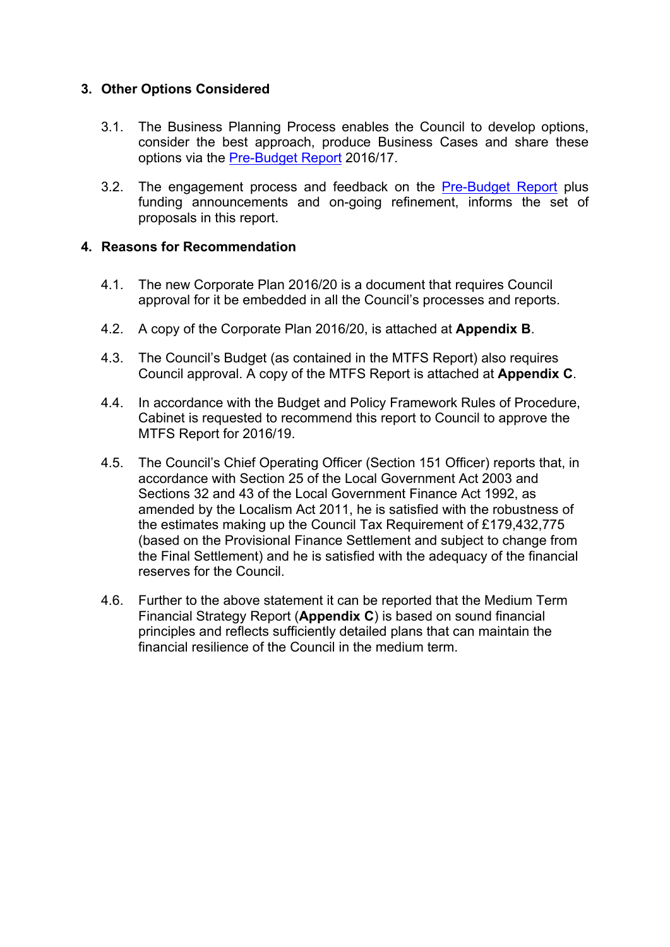# **3. Other Options Considered**

- 3.1. The Business Planning Process enables the Council to develop options, consider the best approach, produce Business Cases and share these options via the [Pre-Budget](http://www.cheshireeast.gov.uk/pdf/council-and-democracy/budget-report/pre-budget-report-2016-17-vf-1.pdf) Report 2016/17.
- 3.2. The engagement process and feedback on the [Pre-Budget](http://www.cheshireeast.gov.uk/pdf/council-and-democracy/budget-report/pre-budget-report-2016-17-vf-1.pdf) Report plus funding announcements and on-going refinement, informs the set of proposals in this report.

#### **4. Reasons for Recommendation**

- 4.1. The new Corporate Plan 2016/20 is a document that requires Council approval for it be embedded in all the Council's processes and reports.
- 4.2. A copy of the Corporate Plan 2016/20, is attached at **Appendix B**.
- 4.3. The Council's Budget (as contained in the MTFS Report) also requires Council approval. A copy of the MTFS Report is attached at **Appendix C**.
- 4.4. In accordance with the Budget and Policy Framework Rules of Procedure, Cabinet is requested to recommend this report to Council to approve the MTFS Report for 2016/19.
- 4.5. The Council's Chief Operating Officer (Section 151 Officer) reports that, in accordance with Section 25 of the Local Government Act 2003 and Sections 32 and 43 of the Local Government Finance Act 1992, as amended by the Localism Act 2011, he is satisfied with the robustness of the estimates making up the Council Tax Requirement of £179,432,775 (based on the Provisional Finance Settlement and subject to change from the Final Settlement) and he is satisfied with the adequacy of the financial reserves for the Council.
- 4.6. Further to the above statement it can be reported that the Medium Term Financial Strategy Report (**Appendix C**) is based on sound financial principles and reflects sufficiently detailed plans that can maintain the financial resilience of the Council in the medium term.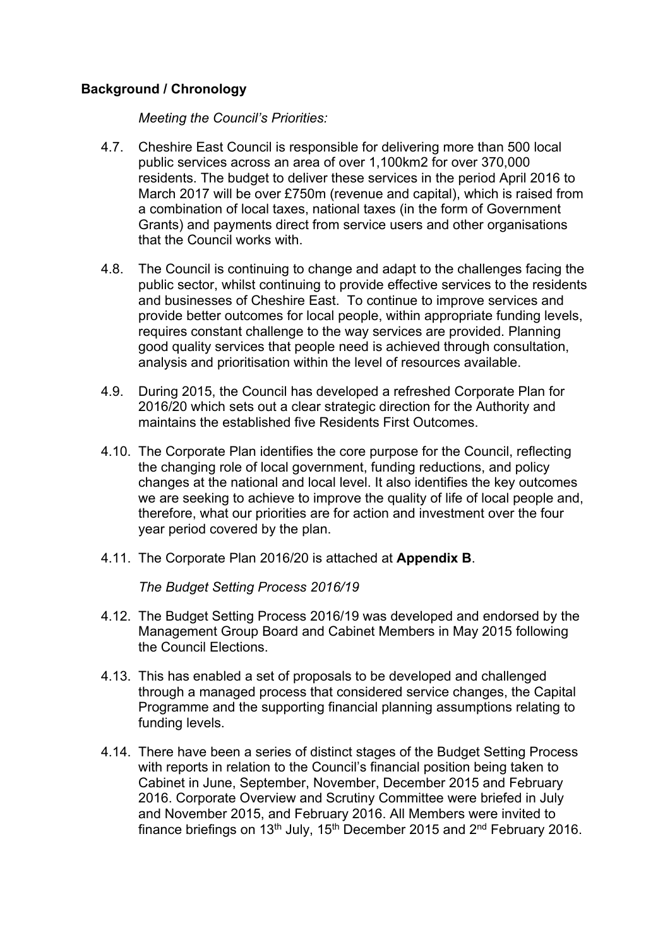# **Background / Chronology**

*Meeting the Council's Priorities:*

- 4.7. Cheshire East Council is responsible for delivering more than 500 local public services across an area of over 1,100km2 for over 370,000 residents. The budget to deliver these services in the period April 2016 to March 2017 will be over £750m (revenue and capital), which is raised from a combination of local taxes, national taxes (in the form of Government Grants) and payments direct from service users and other organisations that the Council works with.
- 4.8. The Council is continuing to change and adapt to the challenges facing the public sector, whilst continuing to provide effective services to the residents and businesses of Cheshire East. To continue to improve services and provide better outcomes for local people, within appropriate funding levels, requires constant challenge to the way services are provided. Planning good quality services that people need is achieved through consultation, analysis and prioritisation within the level of resources available.
- 4.9. During 2015, the Council has developed a refreshed Corporate Plan for 2016/20 which sets out a clear strategic direction for the Authority and maintains the established five Residents First Outcomes.
- 4.10. The Corporate Plan identifies the core purpose for the Council, reflecting the changing role of local government, funding reductions, and policy changes at the national and local level. It also identifies the key outcomes we are seeking to achieve to improve the quality of life of local people and, therefore, what our priorities are for action and investment over the four year period covered by the plan.
- 4.11. The Corporate Plan 2016/20 is attached at **Appendix B**.

*The Budget Setting Process 2016/19*

- 4.12. The Budget Setting Process 2016/19 was developed and endorsed by the Management Group Board and Cabinet Members in May 2015 following the Council Elections.
- 4.13. This has enabled a set of proposals to be developed and challenged through a managed process that considered service changes, the Capital Programme and the supporting financial planning assumptions relating to funding levels.
- 4.14. There have been a series of distinct stages of the Budget Setting Process with reports in relation to the Council's financial position being taken to Cabinet in June, September, November, December 2015 and February 2016. Corporate Overview and Scrutiny Committee were briefed in July and November 2015, and February 2016. All Members were invited to finance briefings on 13<sup>th</sup> July, 15<sup>th</sup> December 2015 and 2<sup>nd</sup> February 2016.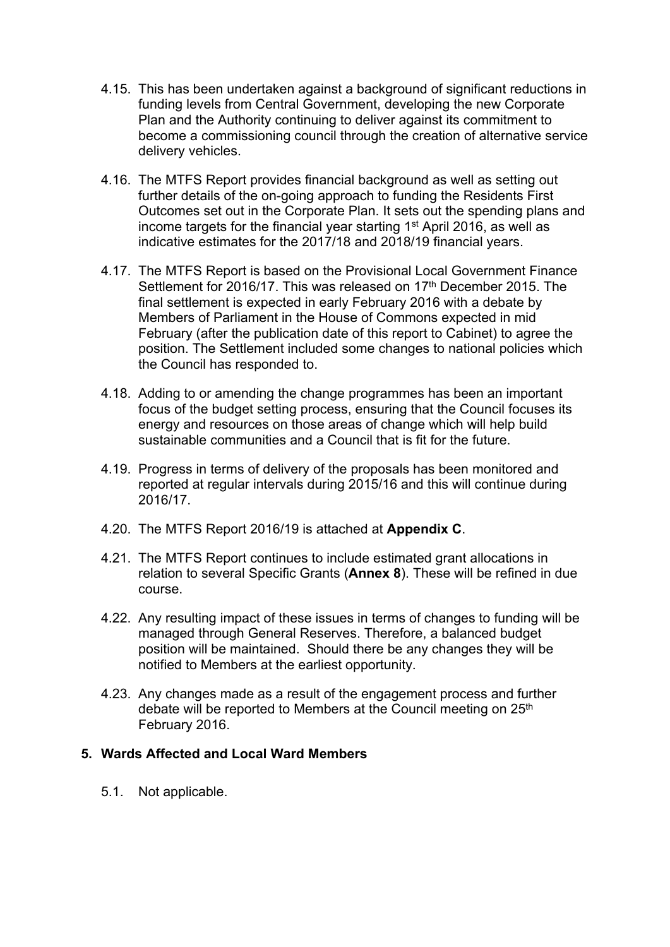- 4.15. This has been undertaken against a background of significant reductions in funding levels from Central Government, developing the new Corporate Plan and the Authority continuing to deliver against its commitment to become a commissioning council through the creation of alternative service delivery vehicles.
- 4.16. The MTFS Report provides financial background as well as setting out further details of the on-going approach to funding the Residents First Outcomes set out in the Corporate Plan. It sets out the spending plans and income targets for the financial year starting 1<sup>st</sup> April 2016, as well as indicative estimates for the 2017/18 and 2018/19 financial years.
- 4.17. The MTFS Report is based on the Provisional Local Government Finance Settlement for 2016/17. This was released on 17<sup>th</sup> December 2015. The final settlement is expected in early February 2016 with a debate by Members of Parliament in the House of Commons expected in mid February (after the publication date of this report to Cabinet) to agree the position. The Settlement included some changes to national policies which the Council has responded to.
- 4.18. Adding to or amending the change programmes has been an important focus of the budget setting process, ensuring that the Council focuses its energy and resources on those areas of change which will help build sustainable communities and a Council that is fit for the future.
- 4.19. Progress in terms of delivery of the proposals has been monitored and reported at regular intervals during 2015/16 and this will continue during 2016/17.
- 4.20. The MTFS Report 2016/19 is attached at **Appendix C**.
- 4.21. The MTFS Report continues to include estimated grant allocations in relation to several Specific Grants (**Annex 8**). These will be refined in due course.
- 4.22. Any resulting impact of these issues in terms of changes to funding will be managed through General Reserves. Therefore, a balanced budget position will be maintained. Should there be any changes they will be notified to Members at the earliest opportunity.
- 4.23. Any changes made as a result of the engagement process and further debate will be reported to Members at the Council meeting on 25<sup>th</sup> February 2016.

#### **5. Wards Affected and Local Ward Members**

5.1. Not applicable.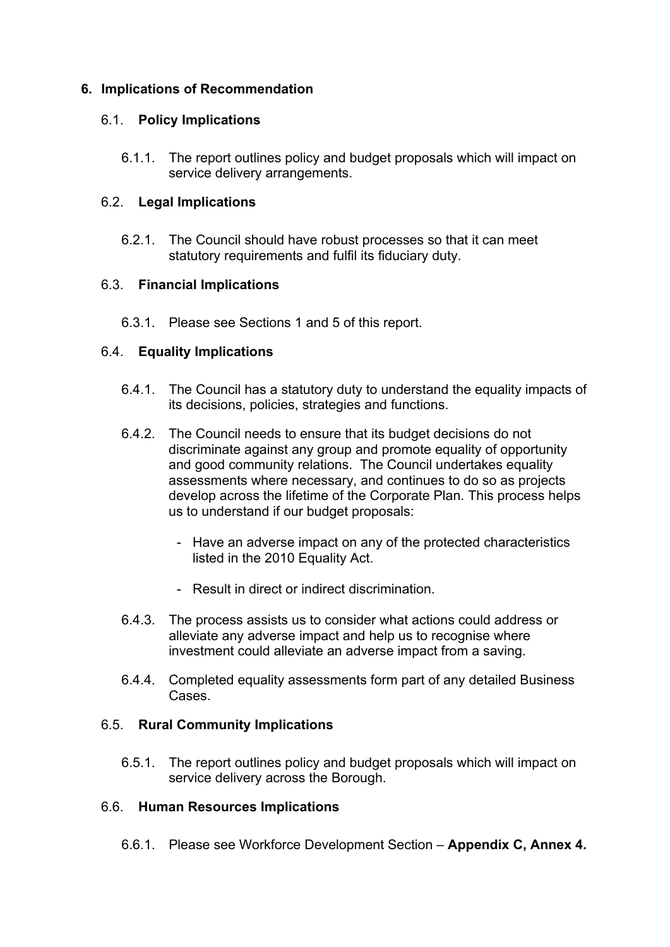# **6. Implications of Recommendation**

#### 6.1. **Policy Implications**

6.1.1. The report outlines policy and budget proposals which will impact on service delivery arrangements.

#### 6.2. **Legal Implications**

6.2.1. The Council should have robust processes so that it can meet statutory requirements and fulfil its fiduciary duty.

#### 6.3. **Financial Implications**

6.3.1. Please see Sections 1 and 5 of this report.

# 6.4. **Equality Implications**

- 6.4.1. The Council has a statutory duty to understand the equality impacts of its decisions, policies, strategies and functions.
- 6.4.2. The Council needs to ensure that its budget decisions do not discriminate against any group and promote equality of opportunity and good community relations. The Council undertakes equality assessments where necessary, and continues to do so as projects develop across the lifetime of the Corporate Plan. This process helps us to understand if our budget proposals:
	- Have an adverse impact on any of the protected characteristics listed in the 2010 Equality Act.
	- Result in direct or indirect discrimination.
- 6.4.3. The process assists us to consider what actions could address or alleviate any adverse impact and help us to recognise where investment could alleviate an adverse impact from a saving.
- 6.4.4. Completed equality assessments form part of any detailed Business Cases.

# 6.5. **Rural Community Implications**

6.5.1. The report outlines policy and budget proposals which will impact on service delivery across the Borough.

#### 6.6. **Human Resources Implications**

6.6.1. Please see Workforce Development Section – **Appendix C, Annex 4.**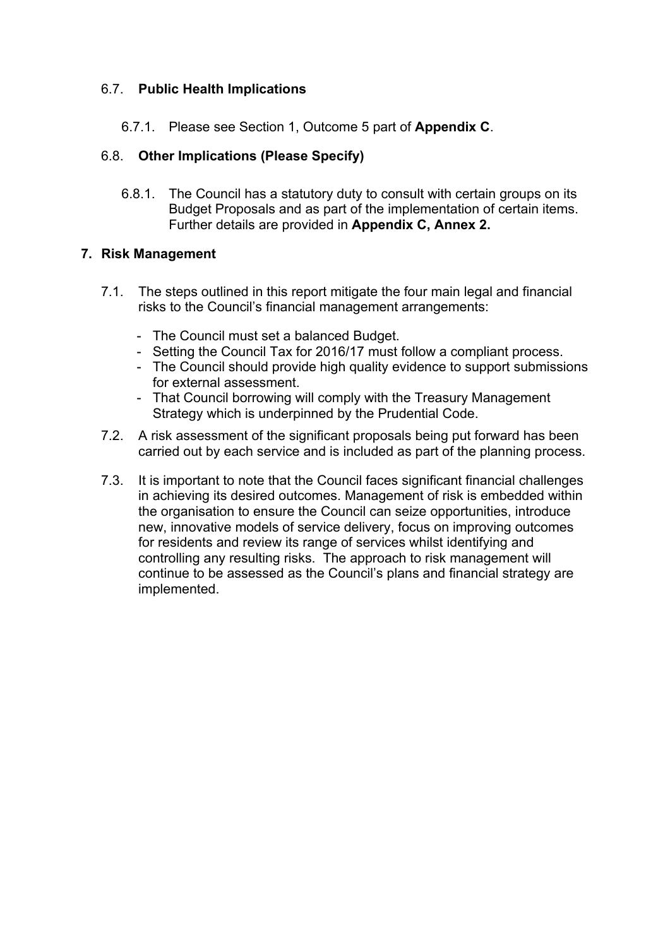# 6.7. **Public Health Implications**

6.7.1. Please see Section 1, Outcome 5 part of **Appendix C**.

# 6.8. **Other Implications (Please Specify)**

6.8.1. The Council has a statutory duty to consult with certain groups on its Budget Proposals and as part of the implementation of certain items. Further details are provided in **Appendix C, Annex 2.**

#### **7. Risk Management**

- 7.1. The steps outlined in this report mitigate the four main legal and financial risks to the Council's financial management arrangements:
	- The Council must set a balanced Budget.
	- Setting the Council Tax for 2016/17 must follow a compliant process.
	- The Council should provide high quality evidence to support submissions for external assessment.
	- That Council borrowing will comply with the Treasury Management Strategy which is underpinned by the Prudential Code.
- 7.2. A risk assessment of the significant proposals being put forward has been carried out by each service and is included as part of the planning process.
- 7.3. It is important to note that the Council faces significant financial challenges in achieving its desired outcomes. Management of risk is embedded within the organisation to ensure the Council can seize opportunities, introduce new, innovative models of service delivery, focus on improving outcomes for residents and review its range of services whilst identifying and controlling any resulting risks. The approach to risk management will continue to be assessed as the Council's plans and financial strategy are implemented.